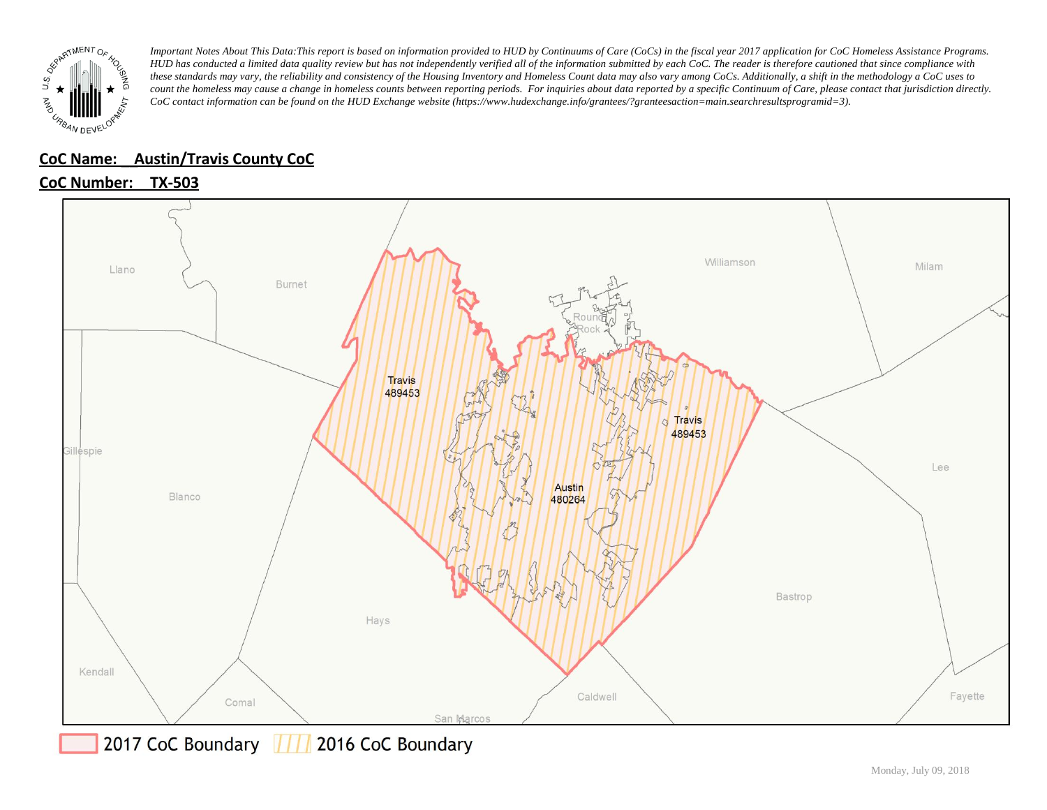

## **CoC Name: \_\_ Austin/Travis County CoC**

**CoC Number: TX-503**



2017 CoC Boundary | 11 2016 CoC Boundary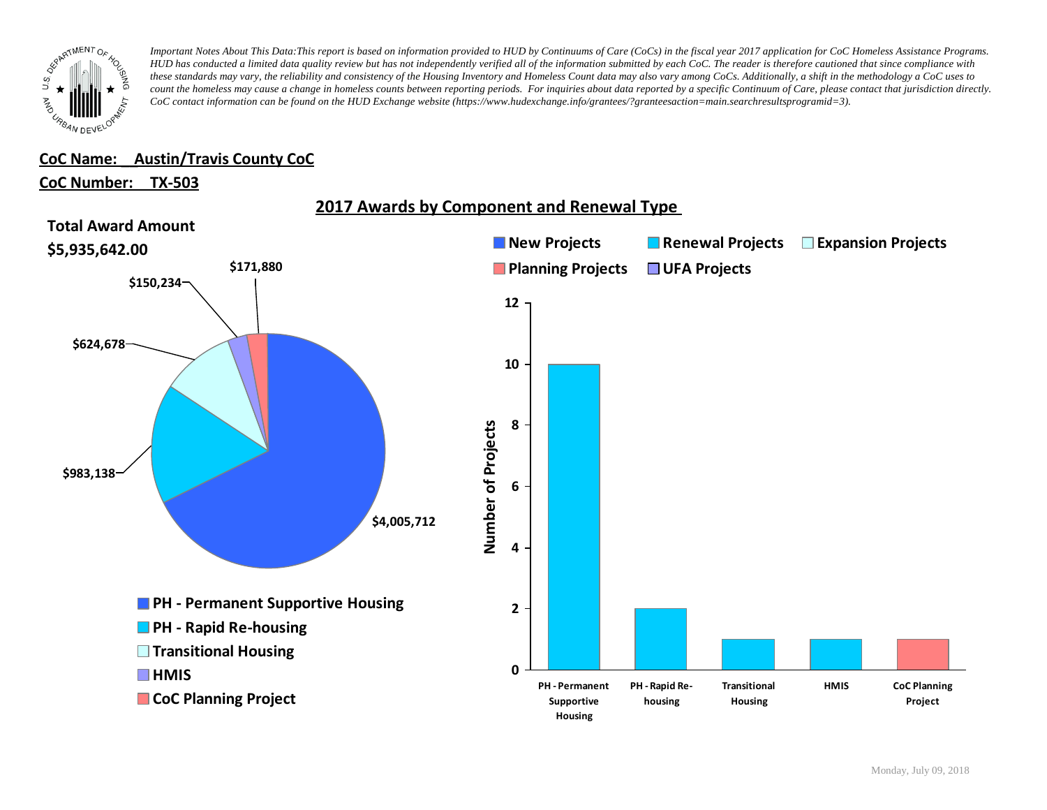

## **CoC Name: \_\_ Austin/Travis County CoC**

### **CoC Number: TX-503**

**2017 Awards by Component and Renewal Type** 

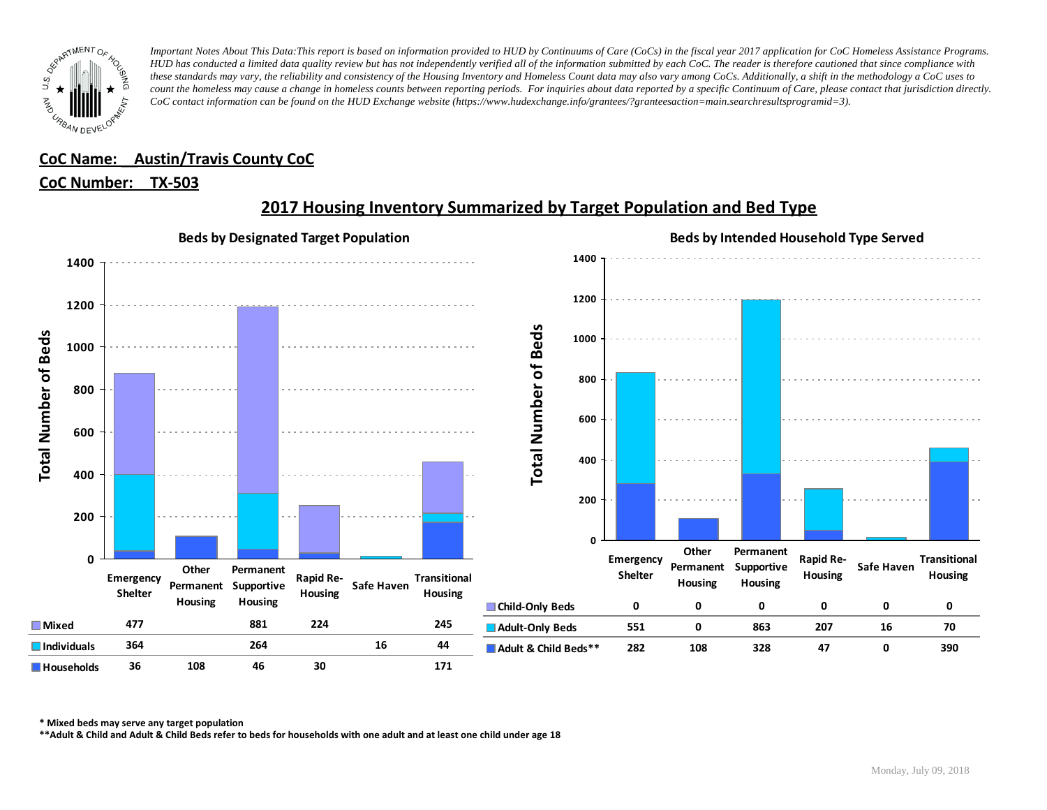

## **CoC Name: \_\_ Austin/Travis County CoC**

## **CoC Number: TX-503**



# **2017 Housing Inventory Summarized by Target Population and Bed Type**

**\* Mixed beds may serve any target population**

**\*\*Adult & Child and Adult & Child Beds refer to beds for households with one adult and at least one child under age 18**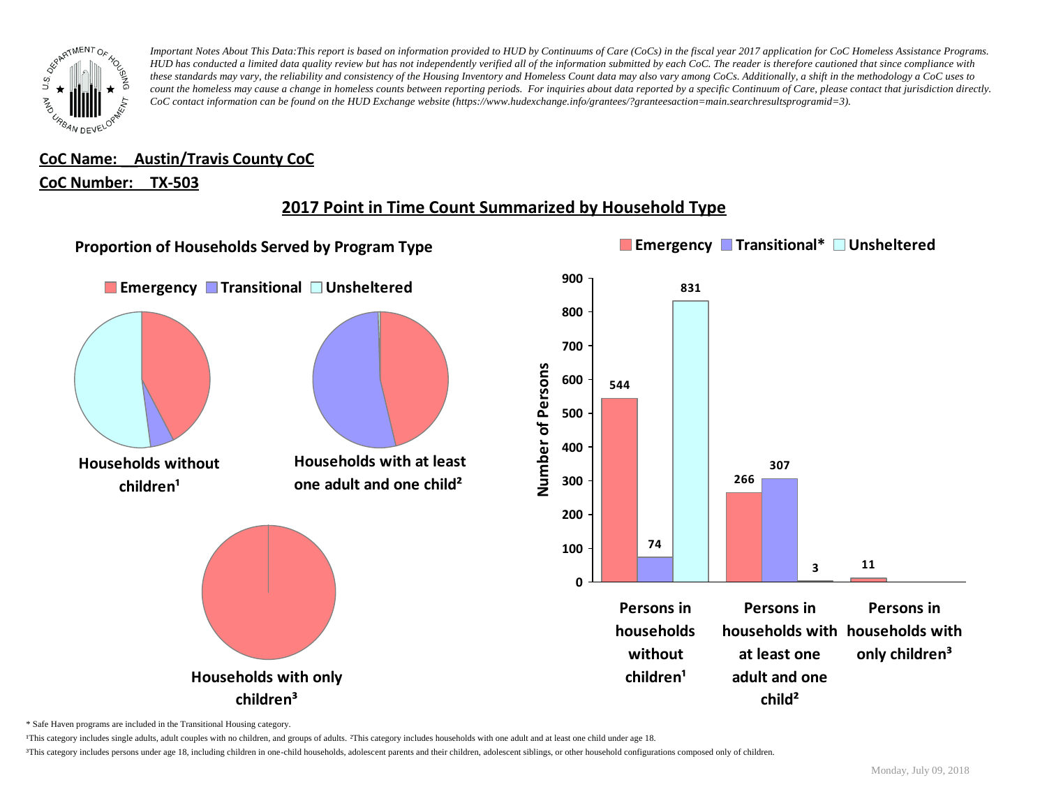

**CoC Name: \_\_ Austin/Travis County CoC**

## **CoC Number: TX-503**

# **2017 Point in Time Count Summarized by Household Type**



\* Safe Haven programs are included in the Transitional Housing category.

¹This category includes single adults, adult couples with no children, and groups of adults. ²This category includes households with one adult and at least one child under age 18.

<sup>3</sup>This category includes persons under age 18, including children in one-child households, adolescent parents and their children, adolescent siblings, or other household configurations composed only of children.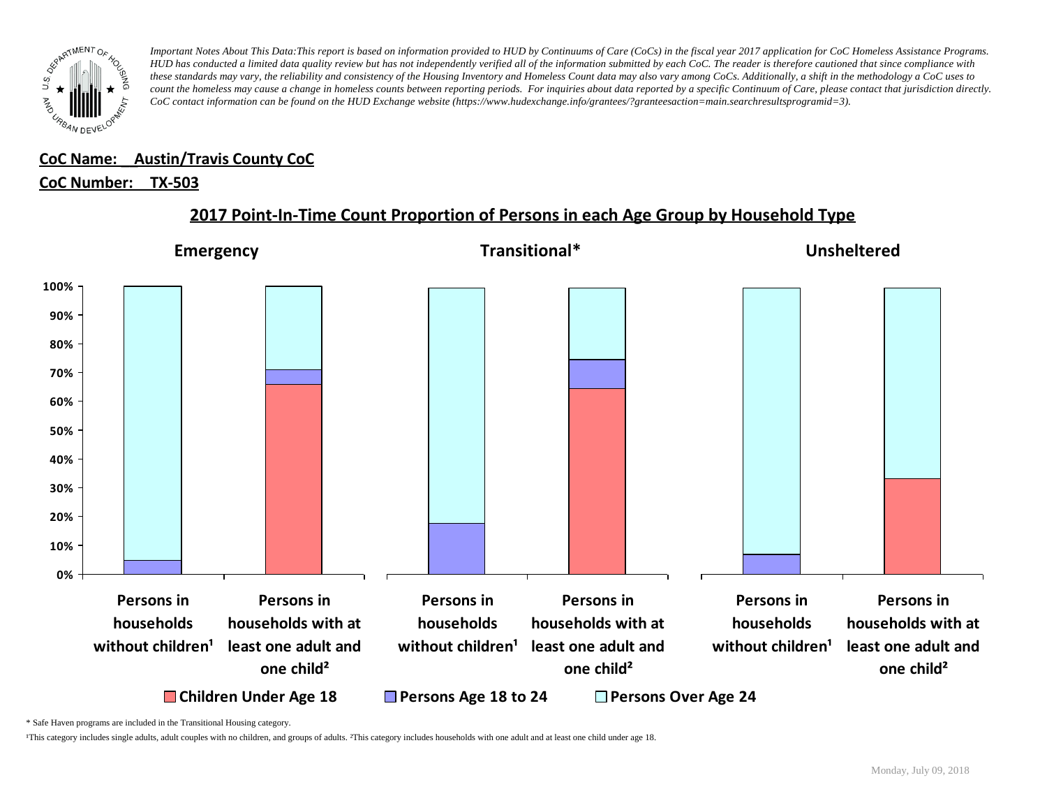

#### **CoC Name: \_\_ Austin/Travis County CoC** ¹This category includes single adults, adult couples with no children, and groups of adults. ²This category includes households with one adult and at least one child under age 18.

# <u>CoC Number: TX-503</u>

# **2017 Point-In-Time Count Proportion of Persons in each Age Group by Household Type**



\* Safe Haven programs are included in the Transitional Housing category.

¹This category includes single adults, adult couples with no children, and groups of adults. ²This category includes households with one adult and at least one child under age 18.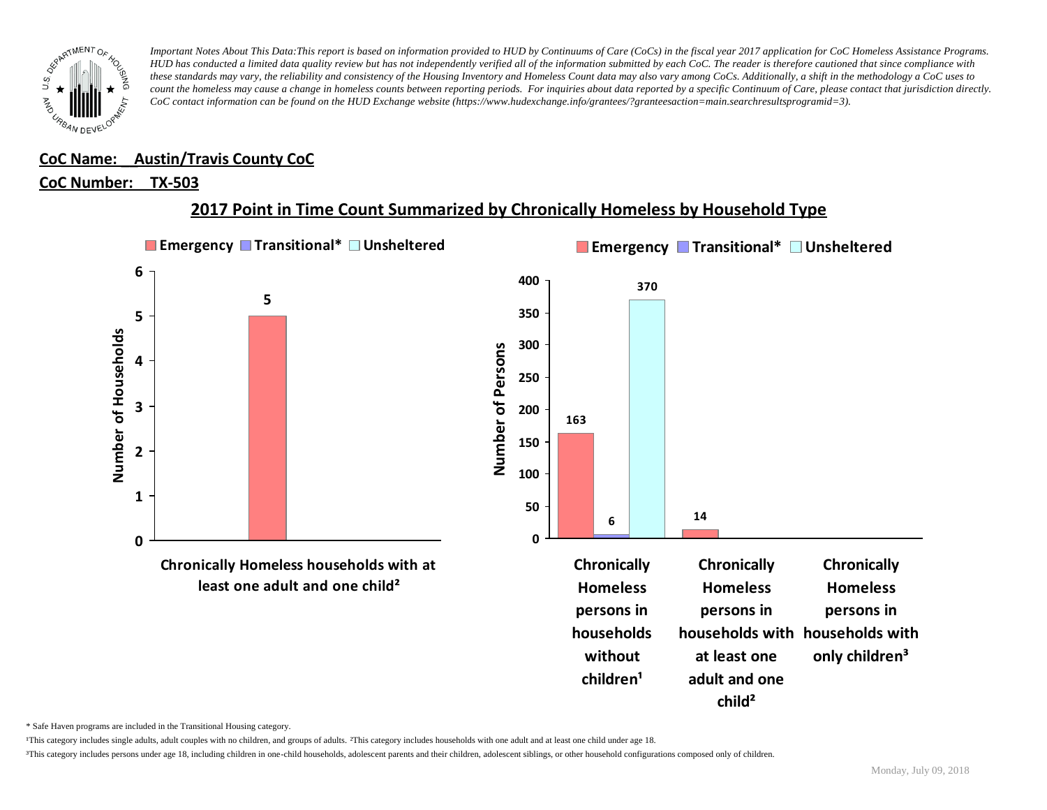

### **CoC Name: \_\_ Austin/Travis County CoC**

#### **CoC Number: TX-503**

# **2017 Point in Time Count Summarized by Chronically Homeless by Household Type**



\* Safe Haven programs are included in the Transitional Housing category.

¹This category includes single adults, adult couples with no children, and groups of adults. ²This category includes households with one adult and at least one child under age 18.

³This category includes persons under age 18, including children in one-child households, adolescent parents and their children, adolescent siblings, or other household configurations composed only of children.